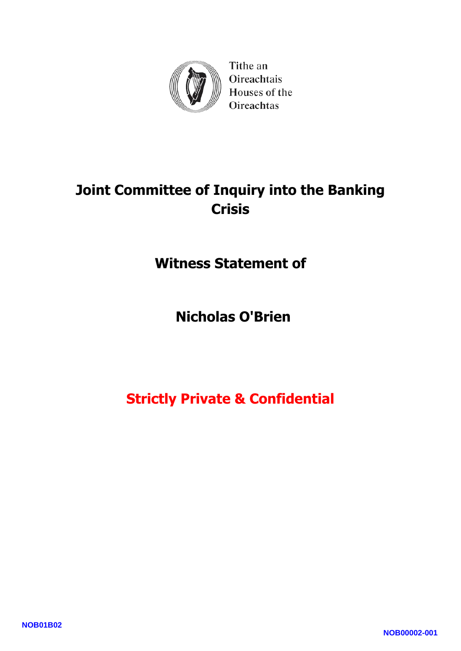

Tithe an Oireachtais Houses of the Oireachtas

# **Joint Committee of Inquiry into the Banking Crisis**

**Witness Statement of** 

**Nicholas O'Brien**

# **Strictly Private & Confidential**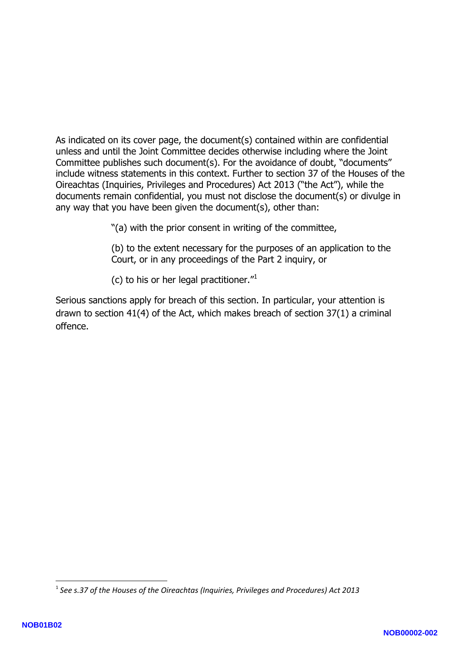As indicated on its cover page, the document(s) contained within are confidential unless and until the Joint Committee decides otherwise including where the Joint Committee publishes such document(s). For the avoidance of doubt, "documents" include witness statements in this context. Further to section 37 of the Houses of the Oireachtas (Inquiries, Privileges and Procedures) Act 2013 ("the Act"), while the documents remain confidential, you must not disclose the document(s) or divulge in any way that you have been given the document(s), other than:

"(a) with the prior consent in writing of the committee,

(b) to the extent necessary for the purposes of an application to the Court, or in any proceedings of the Part 2 inquiry, or

(c) to his or her legal practitioner." 1

Serious sanctions apply for breach of this section. In particular, your attention is drawn to section 41(4) of the Act, which makes breach of section 37(1) a criminal offence.

**.** 

<sup>1</sup> *See s.37 of the Houses of the Oireachtas (Inquiries, Privileges and Procedures) Act 2013*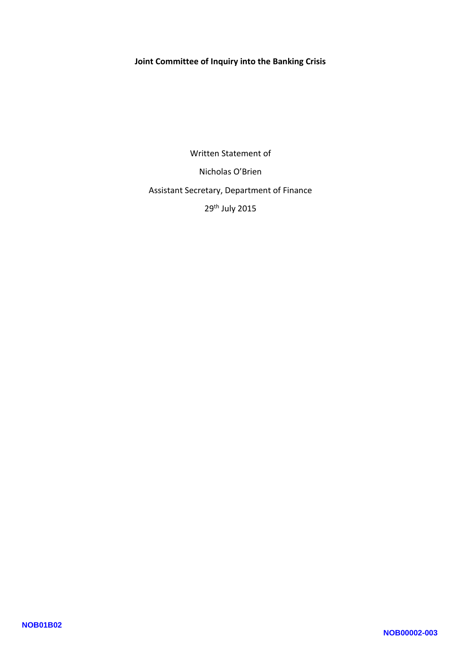#### **Joint Committee of Inquiry into the Banking Crisis**

Written Statement of Nicholas O'Brien Assistant Secretary, Department of Finance 29th July 2015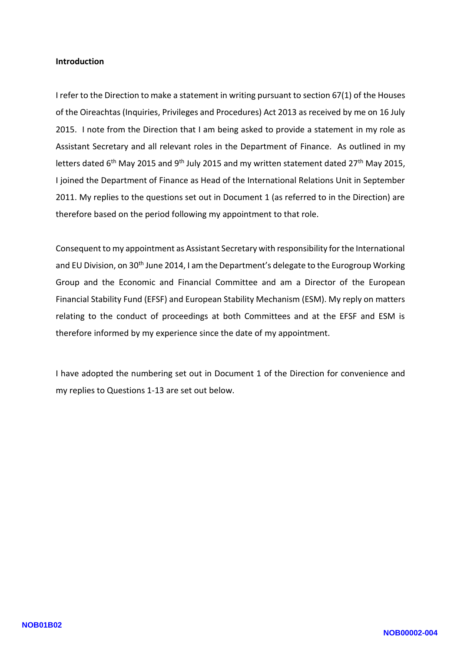#### **Introduction**

I refer to the Direction to make a statement in writing pursuant to section 67(1) of the Houses of the Oireachtas (Inquiries, Privileges and Procedures) Act 2013 as received by me on 16 July 2015. I note from the Direction that I am being asked to provide a statement in my role as Assistant Secretary and all relevant roles in the Department of Finance. As outlined in my letters dated 6<sup>th</sup> May 2015 and 9<sup>th</sup> July 2015 and my written statement dated 27<sup>th</sup> May 2015, I joined the Department of Finance as Head of the International Relations Unit in September 2011. My replies to the questions set out in Document 1 (as referred to in the Direction) are therefore based on the period following my appointment to that role.

Consequent to my appointment as Assistant Secretary with responsibility for the International and EU Division, on 30<sup>th</sup> June 2014, I am the Department's delegate to the Eurogroup Working Group and the Economic and Financial Committee and am a Director of the European Financial Stability Fund (EFSF) and European Stability Mechanism (ESM). My reply on matters relating to the conduct of proceedings at both Committees and at the EFSF and ESM is therefore informed by my experience since the date of my appointment.

I have adopted the numbering set out in Document 1 of the Direction for convenience and my replies to Questions 1 -13 are set out below.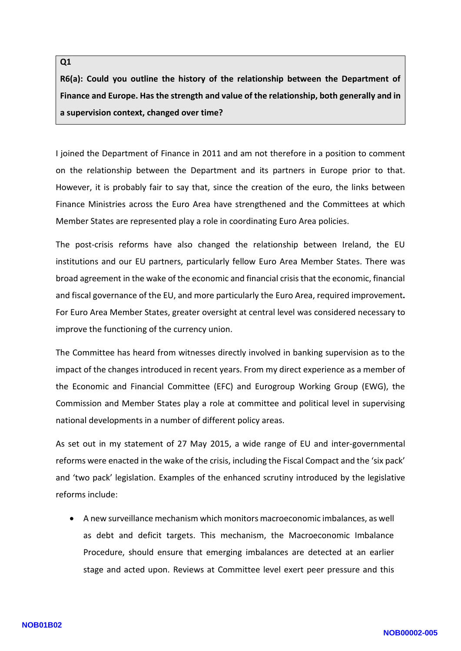## **R6(a): Could you outline the history of the relationship between the Department of Finance and Europe. Has the strength and value of the relationship, both generally and in a supervision context, changed over time?**

I joined the Department of Finance in 2011 and am not therefore in a position to comment on the relationship between the Department and its partners in Europe prior to that. However, it is probably fair to say that, since the creation of the euro, the links between Finance Ministries across the Euro Area have strengthened and the Committees at which

Member States are represented play a role in coordinating Euro Area policies.<br>The post-crisis reforms have also changed the relationship between Ireland, the EU institutions and our EU partners, particularly fellow Euro Area Member States. There was broad agreement in the wake of the economic and financial crisis that the economic, financial and fiscal governance of the EU, and more particularly the Euro Area, required improvement**.**  For Euro Area Member States, greater oversight at central level was considered necessary to improve the functioning of the currency union.

The Committee has heard from witnesses directly involved in banking supervision as to the impact of the changes introduced in recent years. From my direct experience as a member of the Economic and Financial Committee (EFC) and Eurogroup Working Group (EWG), the Commission and Member States play a role at committee and political level in supervising national developments in a number of different policy areas.

As set out in my statement of 27 May 2015, a wide range of EU and inter -governmental reforms were enacted in the wake of the crisis, including the Fiscal Compact and the 'six pack' and 'two pack' legislation. Examples of the enhanced scrutiny introduced by the legislative reforms include:

 A new surveillance mechanism which monitors macroeconomic imbalances, as well as debt and deficit targets. This mechanism, the Macroeconomic Imbalance Procedure, should ensure that emerging imbalances are detected at an earlier stage and acted upon. Reviews at Committee level exert peer pressure and this

**Q1**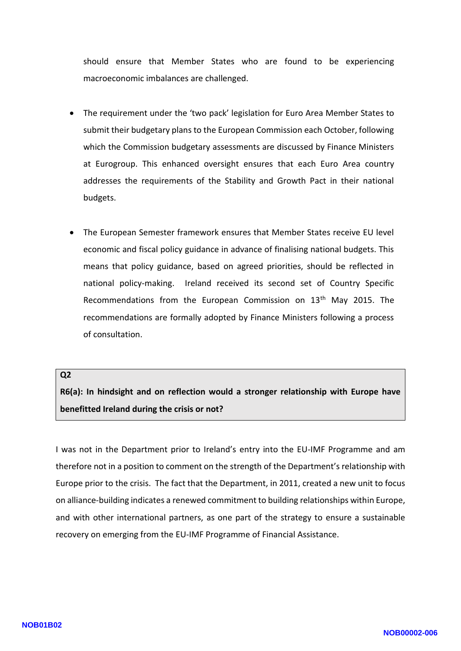should ensure that Member States who are found to be experiencing macroeconomic imbalances are challenged.

- The requirement under the 'two pack' legislation for Euro Area Member States to submit their budgetary plans to the European Commission each October, following which the Commission budgetary assessments are discussed by Finance Ministers at Eurogroup. This enhanced oversight ensures that each Euro Area country addresses the requirements of the Stability and Growth Pact in their national budgets.
- The European Semester framework ensures that Member States receive EU level economic and fiscal policy guidance in advance of finalising national budgets. This means that policy guidance, based on agreed priorities, should be reflected in national policy-making. Ireland received its second set of Country Specific Recommendations from the European Commission on 13<sup>th</sup> May 2015. The recommendations are formally adopted by Finance Ministers following a process of consultation.

#### **Q2**

**R6(a): In hindsight and on reflection would a stronger relationship with Europe have benefitted Ireland during the crisis or not?**

I was not in the Department prior to Ireland's entry into the EU -IMF Programme and am therefore not in a position to comment on the strength of the Department's relationship with Europe prior to the crisis. The fact that the Department, in 2011 , created a new unit to focus on alliance -building indicates a renewed commitment to building relationships within Europe, and with other international partners, as one part of the strategy to ensure a sustainable recovery on emerging from the EU -IMF Programme of Financial Assistance.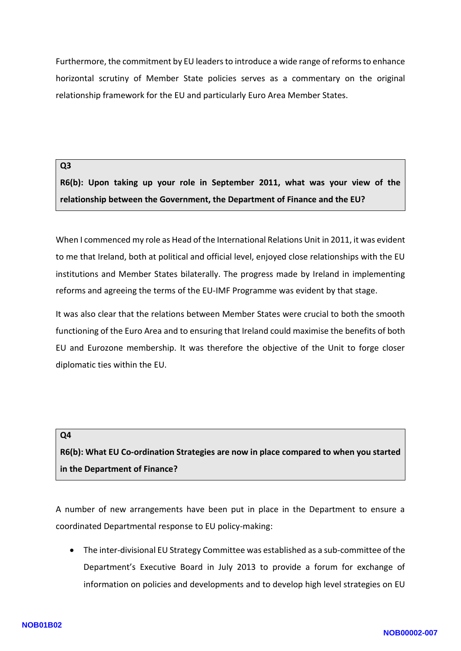Furthermore, the commitment by EU leaders to introduce a wide range of reforms to enhance horizontal scrutiny of Member State policies serves as a commentary on the original relationship framework for the EU and particularly Euro Area Member States.

#### **Q3**

**R6( b): Upon taking up your role in September 2011, what was your view of the relationship between the Government, the Department of Finance and the EU?**

When I commenced my role as Head of the International Relations Unit in 2011, it was evident to me that Ireland, both at political and official level, enjoyed close relationships with the EU institutions and Member States bilaterally. The progress made by Ireland in implementing reforms and agreeing the terms of the EU -IMF Programme was evident by that stage.

It was also clear that the relations between Member States were crucial to both the smooth functioning of the Euro Area and to ensuring that Ireland could maximise the benefits of both EU and Eurozone membership. It was therefore the objective of the Unit to forge closer diplomatic ties within the EU.

#### **Q4**

**R6(b): What EU Co -ordination Strategies are now in place compared to when you started in the Department of Finance ?**

A number of new arrangements have been put in place in the Department to ensure a coordinated Departmental response to EU policy -making:

• The inter-divisional EU Strategy Committee was established as a sub-committee of the Department's Executive Board in July 2013 to provide a forum for exchange of information on policies and developments and to develop high level strategies on EU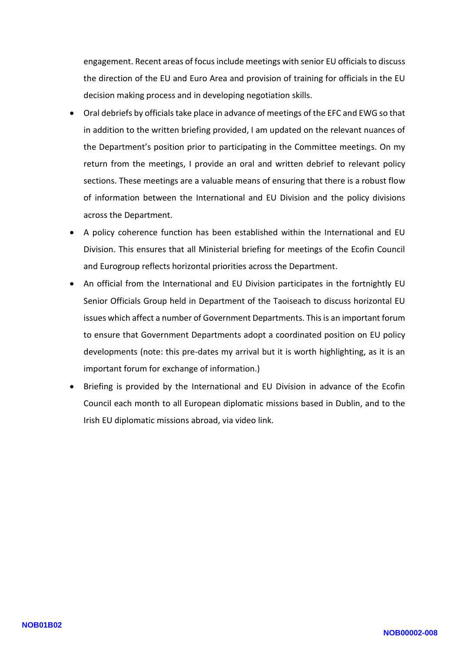engagement. Recent areas of focus include meetings with senior EU officials to discuss the direction of the EU and Euro Area and provision of training for officials in the EU decision making process and in developing negotiation skills.

- Oral debriefs by officials take place in advance of meetings of the EFC and EWG so that in addition to the written briefing provided, I am updated on the relevant nuances of the Department's position prior to participating in the Committee meeting s. On my return from the meetings, I provide an oral and written debrief to relevant policy sections. These meetings are a valuable means of ensuring that there is a robust flow of information between the International and EU Division and the policy divisions across the Department.
- A policy coherence function has been established within the International and EU Division. This ensures that all Ministerial briefing for meetings of the Ecofin Council and Eurogroup reflects horizontal priorities across the Department .
- An official from the International and EU Division participates in the fortnightly EU Senior Officials Group held in Department of the Taoiseach to discuss horizontal EU issues which affect a number of Government Departments. This is an important forum to ensure that Government Departments adopt a coordinated position on EU policy developments (note: this pre -dates my arrival but it is worth highlighting, as it is an important forum for exchange of information.)
- Briefing is provided by the International and EU Division in advance of the Ecofin Council each month to all European diplomatic missions based in Dublin , and to the Irish EU diplomatic missions abroad , via video link.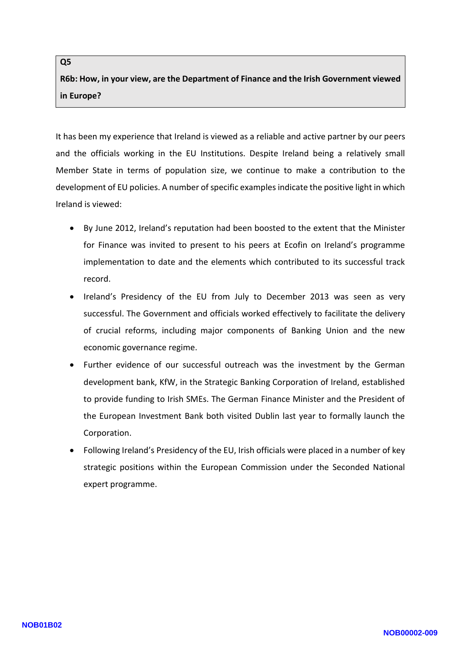**R6b: How , in your view , are the Department of Finance and the Irish Government viewed in Europe ?**

It has been my experience that Ireland is viewed as a reliable and active partner by our peers and the officials working in the EU Institutions. Despite Ireland being a relatively small Member State in terms of population size, we continue to ma ke a contribution to the development of EU policies. A number of specific examples indicate the positive light in which Ireland is viewed:

- By June 2012, Ireland's reputation had been boosted to the extent that the Minister for Finance was invited to present to his peers at Ecofin on Ireland's programme implementation to date and the elements which contributed to its successful track record.
- Ireland's Presidency of the EU from July to December 2013 was seen as very successful. The Government and officials worked effectively to facilitate the delivery of crucial reforms, including major components of Banking Union and the new economic governance regime.
- Further evidence of our successful outreach was the investment by the German development bank, KfW, in the Strategic Banking Corporation of Ireland, established to provide funding to Irish SMEs. The German Finance Minister and the President of the European Investment Bank both visited Dublin last year to formally launch the Corporation .
- Following Ireland's Presidency of the EU, Irish officials were placed in a number of key strategic positions within the European Commission under the Seconded National expert programme.

**Q5**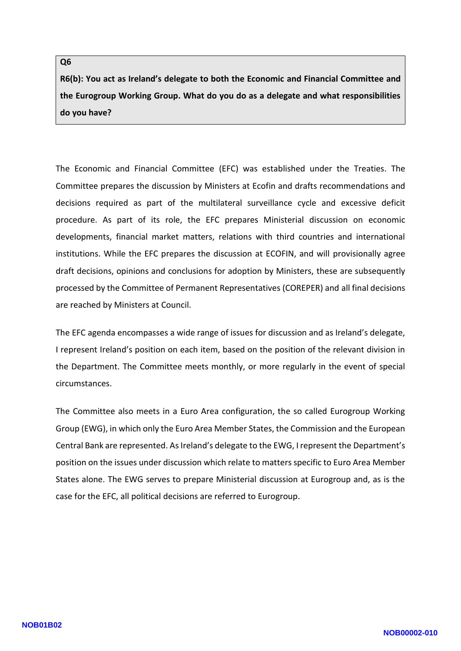#### **Q6**

**R6(b): You act as Ireland's delegate to both the Economic and Financial Committee and the Eurogroup Working Group. What do you do as a delegate and what responsibilities do you have?**

The Economic and Financial Committee (EFC) was established under the Treaties . The Committee prepares the discussion by Ministers at Ecofin and draft s recommendations and decisions required as part of the multilateral surveillance cycle and excessive deficit procedure. As part of its role, the EFC prepares Ministerial discussion on economic developments, financial market matters, relations with third countries and international institutions. While the EFC prepares the discussion at ECOFIN, and will provisionall y agree draft decisions, opinions and conclusions for adoption by Ministers, these are subsequently processed by the Committee of Permanent Representatives (COREPER) and all final decisions are reached by Ministers at Council.

The EFC agenda encompasses a wide range of issues for discussion and as Ireland's delegate, I represent Ireland's position on each item, based on the position of the relevant division in the Department . The Committee meets monthly , or more regularly in the event of special circumstances.

The Committee also meets in a Euro Area configuration, the so called Eurogroup Working Group (EWG), in which only the Euro Area Member States, the Commission and the European Central Bank are represented. As Ireland's delegate to the EWG, I represent the Department's position on the issues under discussion which relat e to matters specific to Euro Area Member States alone. The EWG serves to prepare Ministerial discussion at Eurogroup and, as is the case for the EFC, all political decisions are referred to Eurogroup.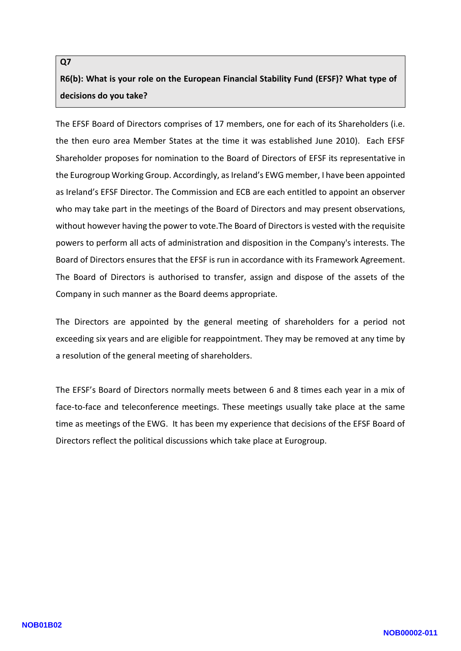## **Q7 R6(b): What is your role on the European Financial Stability Fund (EFSF)? What type of decisions do you take?**

The EFSF Board of Directors comprises of 17 members, one for each of its Shareholders (i.e. the then euro area Member States at the time it was established June 2010). Each EFSF Shareholder proposes for nomination to the Board of Directors of EFSF its representative in the Eurogroup Working Group. Accordingly, as Ireland's EWG member, I have been appointed as Ireland's EFSF Director. The Commission and ECB are each entitled to appoint an observer who may take part in the meetings of the Board of Directors and may present observations, without however having the power to vote.The Board of Directors is vested with the requisite powers to perform all acts of administration and disposition in the Company's interests. The Board of Directors ensures that the EFSF is run in accordance with its Framework Agreement. The Board of Directors is authorised to transfer, assign and dispose of the assets of the Company in such manner as the Board deems appropriate.

The Directors are appointed by the general meeting of shareholders for a period not exceeding six years and are eligible for reappointment. They may be removed at any time by a resolution of the general meeting of shareholders.

The EFSF's Board of Directors normally meets between 6 and 8 times each year in a mix of face-to-face and teleconference meetings. These meetings usually take place at the same time as meetings of the EWG. It has been my experience that decisions of the EFSF Board of Directors reflect the political discussions which take place at Eurogroup.

#### **NOB01B02**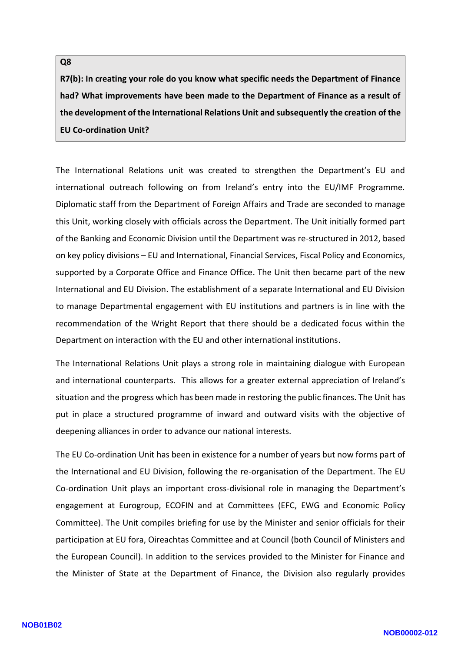#### **Q8**

**R7(b): In creating your role do you know what specific needs the Department of Finance had? What improvements have been made to the Department of Finance as a result of the development of the International Relations Unit and subsequently the creation of the EU Co -ordination Unit?**

The International Relations unit was created to strengthen the Department's EU and international outreach following on from Ireland's entry into the EU/IMF Programme. Diplomatic staff from the Department of Foreign Affairs and Trade are seconded to manage this Unit, working closely with officials across the Department. The Unit initially formed part of the Banking and Economic Division until the Department was re -structured in 2012, based on key policy divisions – EU and International, Financial Services, Fiscal Policy and Economics, supported by a Corporate Office and Finance Office. The Unit then became part of the new International and EU Division. The establishment of a separate International and EU Division to manage Departmental engagement with EU institutions and partners is in line with the recommendation of the Wright Report that there should be a dedicated focus within the Department on interaction with the EU and other international institutions.

The International Relations Unit plays a strong role in maintaining dialogue with European and international counterparts. This allows for a greater external appreciation of Ireland's situation and the progress which has been made in restoring the public finances. The Unit has put in place a structured programme of inward and outward visits with the objective of deepening alliances in order to advance our national interests.

The EU Co -ordination Unit has been in existence for a number of years but now forms part of the International and EU Division, following the re -organisation of the Department. The EU Co -ordination Unit plays an important cross -divisional role in managing the Department's engagement at Eurogroup, ECOFIN and at Committee s (EFC, EWG and Economic Policy Committee) . The Unit compiles briefing for use by the Minister and senior officials for their participation at EU fora, Oireachtas Committee and at Council (both Council of Ministers and the European Council). In addition to the services provided to the Minister for Finance and the Minister of State at the Department of Finance, the Division also regularly provides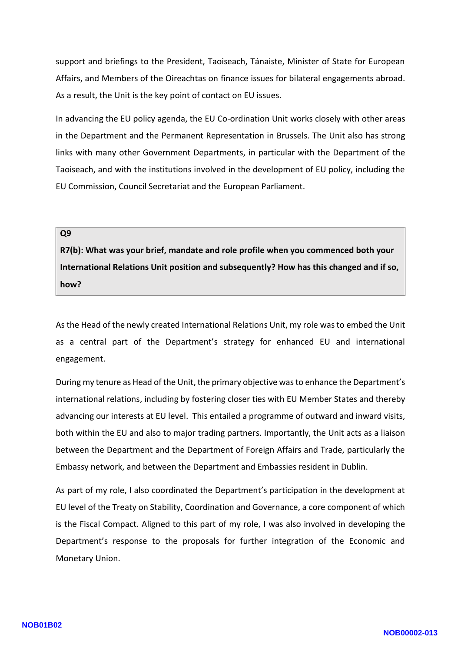support and briefings to the President, Taoiseach, Tánaiste, Minister of State for European Affairs, and Members of the Oireachtas on finance issues for bilateral engagements abroad. As a result, the Unit is the key point of contact on EU issues.

In advancing the EU policy agenda, the EU Co -ordination Unit works closely with other areas in the Department and the Permanent Representation in Brussels. The Unit also has strong links with many other Government Departments , in particular with the Department of the Taoiseach, and with the institutions involved in the development of EU policy, including the EU Commission, Council Secretariat and the European Parliament.

#### **Q9**

**R7(b): What was your brief, mandate and role profile when you commenced both your International Relations Unit position and subsequently? How has this changed and if so, how?**

As the Head of the newly created International Relations Unit, my role was to embed the Unit as a central part of the Department's strategy for enhanced EU and international engagement.

During my tenure as Head of the Unit, the primary objective was to enhance the Department's international relations, including by fostering closer ties with EU Member States and thereby advancing our interests at EU level. This entailed a programme of outward and inward visits, both within the EU and also to major trading partners. Importantly, the Unit acts as a liaison between the Department and the Department of Foreign Affairs and Trade, particularly the Embassy network, and between the Department and Embassies resident in Dublin.

As part of my role, I also coordinated the Department's participation in the development at EU level of the Treaty on Stability, Coordination and Governance, a core component of which is the Fiscal Compact. Aligned to this part of my role, I was also involved in developing the Department's response to the proposals for further integration of the Economic and Monetary Union.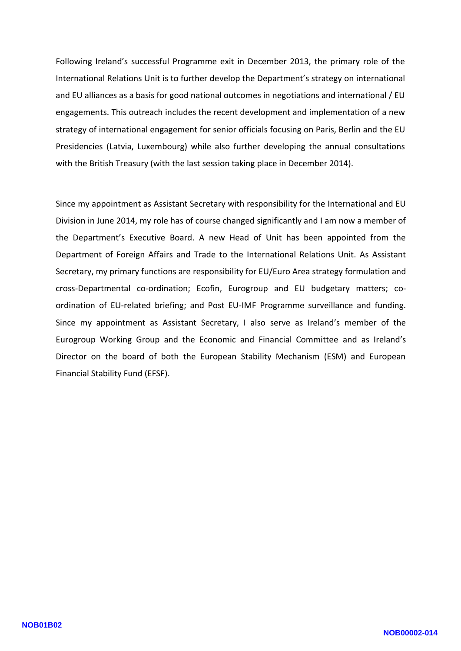Following Ireland's successful Programme exit in December 2013, the primary role of the International Relations Unit is to further develop the Department's strategy on international and EU alliances as a basis for good national outcomes in negotiations and international / EU engagements. This outreach includes the recent development and implementation of a new strategy of international engagement for senior officials focusing on Paris, Berlin and the EU Presidencies (Latvia, Luxembourg) while also further developing the annual consultations with the British Treasury (with the last session taking place in December 2014).

Since my appointment as Assistant Secretary with responsibility for the International and EU Division in June 2014, my role has of course changed significantly and I am now a member of the Department's Executive Board. A new Head of Unit has been appointed from the Department of Foreign Affairs and Trade to the International Relations Unit. As Assistant Secretary, my primary functions are responsibility for EU/Euro Area strategy formulation and cross -Departmental co -ordination; Ecofin, Eurogroup and EU budgetary matters; c o ordination of EU-related briefing; and Post EU-IMF Programme surveillance and funding. Since my appointment as Assistant Secretary, I also serve as Ireland's member of the Eurogroup Working Group and the Economic and Financial Committee and as Ireland's Director on the board of both the European Stability Mechanism (ESM) and European Financial Stability Fund (EFSF).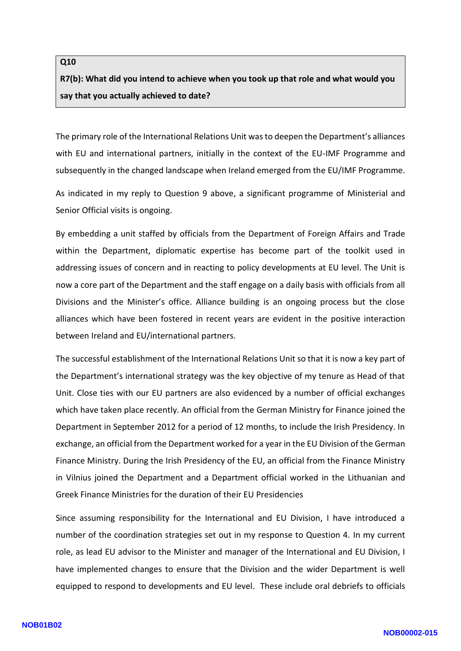## **Q10 R7(b): What did you intend to achieve when you took up that role and what would you say that you actually achieved to date?**

The primary role of the International Relations Unit was to deepen the Department's alliances with EU and international partners, initially in the context of the EU -IMF Programme and subsequently in the changed landscape when Ireland emerged from the EU/IMF Programme.

As indicated in my reply to Question 9 above, a significant programme of Ministerial and Senior Official visits is ongoing.

By embedding a unit staffed by officials from the Department of Foreign Affairs and Trade within the Department, diplomatic expertise has become part of the toolkit used in addressing issues of concern and in reacting to policy developments at EU level. The Unit is now a core part of the Department and the staff engage on a daily basis with officials from all Divisions and the Minister's office. Alliance building is an ongoing process but the close alliances which have been fostered in recent years are evident in the positive interaction between Ireland and EU/international partners.

The successful establishment of the International Relations Unit so that it is now a key part of the Department's international strategy was the key objective of my tenure as Head of that Unit. Close ties with our EU partners are also evidenced by a number of official exchanges which have taken place recently. An official from the German Ministry for Finance joined the Department in September 2012 for a period of 12 months, to include the Irish Presidency. In exchange, an official from the Department worked for a year in the EU Division of the German Finance Ministry. During the Irish Presidency of the EU, an official from the Finance Ministry in Vilnius joined the Department and a Department official worked in the Lithuanian and Greek Finance Ministries for the duration of their EU Presidencies

Since assuming responsibility for the International and EU Division, I have introduced a number of the coordination strategies set out in my response to Question 4. In my current role, as lead EU advisor to the Minister and manager of the International and EU Division, I have implemented changes to ensure that the Division and the wider Department is well equipped to respond to developments and EU level. These include oral debriefs to officials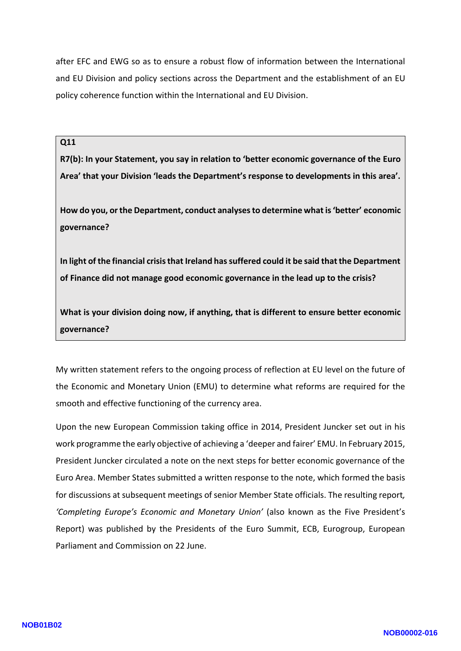after EFC and EWG so as to ensure a robust flow of information between the International and EU Division and policy sections across the Department and the establishment of an EU policy coherence function within the International and EU Division.

**Q11**

**R7(b): In your Statement, you say in relation to 'better economic governance of the Euro Area' that your Division 'leads the Department's response to developments in this area'.** 

**How do you, or the Department, conduct analyses to determine what is 'better' economic governance?**

**In light of the financial crisis that Ireland has suffered could it be said that the Department of Finance did not manage good economic governance in the lead up to the crisis?**

**What is your division doing now, if anything, that is different to ensure better economic governance?**

My written statement refers to the ongoing process of reflection at EU level on the future of the Economic and Monetary Union (EMU) to determine what reforms are required for the smooth and effective functioning of the currency area.

Upon the new European Commission taking office in 2014, President Juncker set out in his work programme the early objective of achieving a 'deeper and fairer' EMU. In February 2015, President Juncker circulated a note on the next steps for better economic governance of the Euro Area. Member States submitted a written response to the note, which formed the basis for discussions at subsequent meetings of senior Member State officials. The resulting report*, 'Completing Europe's Economic and Monetary Union'* (also known as the Five President's Report) was published by the Presidents of the Euro Summit, ECB, Eurogroup, European Parliament and Commission on 22 June.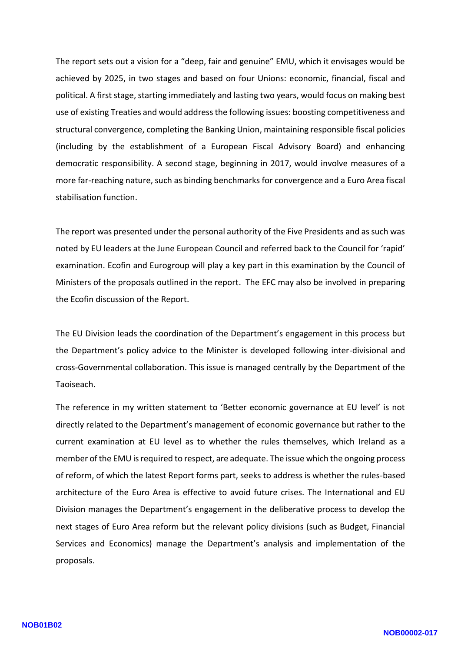The report sets out a vision for a "deep, fair and genuine" EMU, which it envisages would be achieved by 2025, in two stages and based on four Unions: economic, financial, fiscal and political. A first stage, starting immediately and lasting two years, would focus on making best use of existing Treaties and would address the following issues: boosting competitiveness and structural convergence, completing the Banking Union, maintaining responsible fiscal policies (including by the establishment of a European Fiscal Advisory Board) and enhancing democratic responsibility. A second stage, beginning in 2017, would involve measures of a more far -reaching nature, such as binding benchmarks for convergence and a Euro Area fiscal stabilisation function.

The report was presented under the personal authority of the Five Presidents and as such was noted by EU leaders at the June European Council and referred back to the Council for 'rapid' examination. Ecofin and Eurogroup will play a key part in this examination by the Council of Ministers of the proposals outlined in the report . The EFC may also be involved in preparing the Ecofin discussion of the Report.

The EU Division leads the coordination of the Department's engagement in this process but the Department's policy advice to the Minister is developed following inter -divisional and cross -Governmental collaboration. This issue is managed centrally by the Department of the Taoiseach.

The reference in my written statement to 'Better economic governance at EU level' is not directly related to the Department's management of economic governance but rather to the current examination at EU level as to whether the rules themselves, which Ireland as a member of the EMU is required to respect, are adequate. The issue which the ongoing process of reform, of which the latest Report forms part, seeks to address is whether the rules-based architecture of the Euro Area is effective to avoid future crises. The International and EU Division manages the Department's engagement in the deliberative process to develop the next stages of Euro Area reform but the relevant policy divisions (such as Budget, Financial Services and Economics) manage the Department's analysis and implementation of the proposals.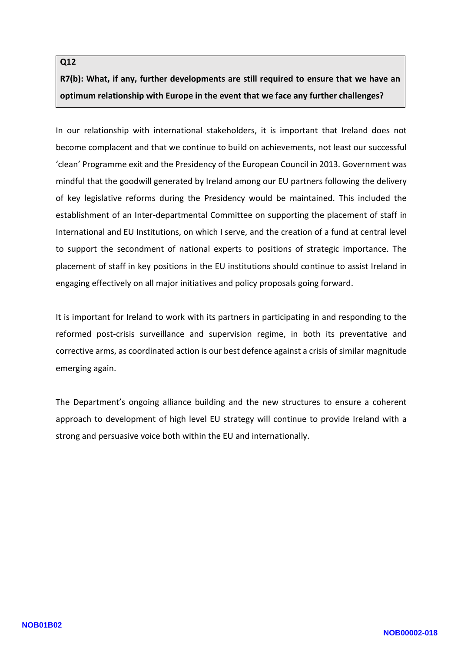### **Q1 2 R7(b): What, if any, further developments are still required to ensure that we have an optimum relationship with Europe in the event that we face any further challenges?**

In our relationship with international stakeholders, it is important that Ireland does not become complacent and that we continue to build on achievements, not least our successful 'clean' Programme exit and the Presidency of the European Council in 2013. Government was mindful that the goodwill generated by Ireland among our EU partners following the delivery of key legislative reforms during the Presidency would be maintained. This included the establishment of an Inter-departmental Committee on supporting the placement of staff in International and EU Institutions, on which I serve, and the creation of a fund at central level to support the secondment of national experts to positions of strategic importance. The placement of staff in key positions in the EU institutions should continue to assist Ireland in engaging effectively on all major initiatives and policy proposals going forward.

It is important for Ireland to work with its partners in participating in and responding to the reformed post -crisis surveillance and supervision regime, in both its preventative and corrective arms, as coordinated action is our best defence against a crisis of similar magnitude emerging again.

The Department's ongoing alliance building and the new structures to ensure a coherent approach to development of high level EU strategy will continue to provide Ireland with a strong and persuasive voice both within the EU and internationally.